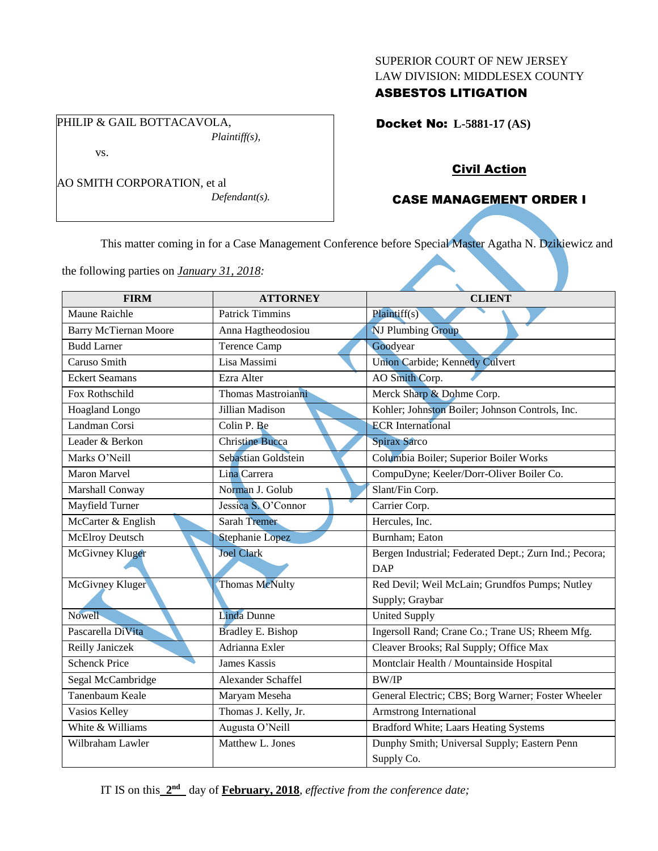### SUPERIOR COURT OF NEW JERSEY LAW DIVISION: MIDDLESEX COUNTY

# ASBESTOS LITIGATION

Docket No: **L-5881-17 (AS)** 

### PHILIP & GAIL BOTTACAVOLA, *Plaintiff(s),*

vs.

AO SMITH CORPORATION, et al *Defendant(s).*

# Civil Action

# CASE MANAGEMENT ORDER I

This matter coming in for a Case Management Conference before Special Master Agatha N. Dzikiewicz and

the following parties on *January 31, 2018:*

| <b>FIRM</b>                  | <b>ATTORNEY</b>          | <b>CLIENT</b>                                          |
|------------------------------|--------------------------|--------------------------------------------------------|
| Maune Raichle                | <b>Patrick Timmins</b>   | Plaintiff(s)                                           |
| <b>Barry McTiernan Moore</b> | Anna Hagtheodosiou       | NJ Plumbing Group                                      |
| <b>Budd Larner</b>           | <b>Terence Camp</b>      | Goodyear                                               |
| Caruso Smith                 | Lisa Massimi             | Union Carbide; Kennedy Culvert                         |
| <b>Eckert Seamans</b>        | Ezra Alter               | AO Smith Corp.                                         |
| Fox Rothschild               | Thomas Mastroianni       | Merck Sharp & Dohme Corp.                              |
| Hoagland Longo               | Jillian Madison          | Kohler; Johnston Boiler; Johnson Controls, Inc.        |
| Landman Corsi                | Colin P. Be              | <b>ECR</b> International                               |
| Leader & Berkon              | <b>Christine Bucca</b>   | Spirax Sarco                                           |
| Marks O'Neill                | Sebastian Goldstein      | Columbia Boiler; Superior Boiler Works                 |
| Maron Marvel                 | Lina Carrera             | CompuDyne; Keeler/Dorr-Oliver Boiler Co.               |
| Marshall Conway              | Norman J. Golub          | Slant/Fin Corp.                                        |
| Mayfield Turner              | Jessica S. O'Connor      | Carrier Corp.                                          |
| McCarter & English           | <b>Sarah Tremer</b>      | Hercules, Inc.                                         |
| <b>McElroy Deutsch</b>       | <b>Stephanie Lopez</b>   | Burnham; Eaton                                         |
| McGivney Kluger              | <b>Joel Clark</b>        | Bergen Industrial; Federated Dept.; Zurn Ind.; Pecora; |
|                              |                          | <b>DAP</b>                                             |
| McGivney Kluger              | Thomas McNulty           | Red Devil; Weil McLain; Grundfos Pumps; Nutley         |
|                              |                          | Supply; Graybar                                        |
| <b>Nowell</b>                | <b>Linda Dunne</b>       | <b>United Supply</b>                                   |
| Pascarella DiVita            | <b>Bradley E. Bishop</b> | Ingersoll Rand; Crane Co.; Trane US; Rheem Mfg.        |
| Reilly Janiczek              | Adrianna Exler           | Cleaver Brooks; Ral Supply; Office Max                 |
| <b>Schenck Price</b>         | <b>James Kassis</b>      | Montclair Health / Mountainside Hospital               |
| Segal McCambridge            | Alexander Schaffel       | <b>BW/IP</b>                                           |
| Tanenbaum Keale              | Maryam Meseha            | General Electric; CBS; Borg Warner; Foster Wheeler     |
| Vasios Kelley                | Thomas J. Kelly, Jr.     | Armstrong International                                |
| White & Williams             | Augusta O'Neill          | Bradford White; Laars Heating Systems                  |
| Wilbraham Lawler             | Matthew L. Jones         | Dunphy Smith; Universal Supply; Eastern Penn           |
|                              |                          | Supply Co.                                             |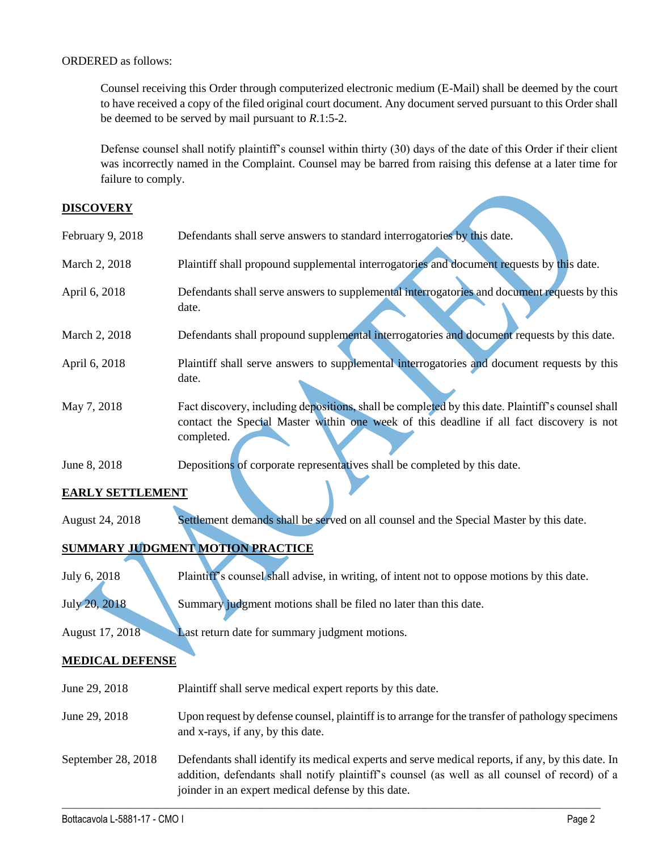### ORDERED as follows:

Counsel receiving this Order through computerized electronic medium (E-Mail) shall be deemed by the court to have received a copy of the filed original court document. Any document served pursuant to this Order shall be deemed to be served by mail pursuant to *R*.1:5-2.

Defense counsel shall notify plaintiff's counsel within thirty (30) days of the date of this Order if their client was incorrectly named in the Complaint. Counsel may be barred from raising this defense at a later time for failure to comply.

### **DISCOVERY**

| February 9, 2018 | Defendants shall serve answers to standard interrogatories by this date.                                                                                                                                    |
|------------------|-------------------------------------------------------------------------------------------------------------------------------------------------------------------------------------------------------------|
| March 2, 2018    | Plaintiff shall propound supplemental interrogatories and document requests by this date.                                                                                                                   |
| April 6, 2018    | Defendants shall serve answers to supplemental interrogatories and document requests by this<br>date.                                                                                                       |
| March 2, 2018    | Defendants shall propound supplemental interrogatories and document requests by this date.                                                                                                                  |
| April 6, 2018    | Plaintiff shall serve answers to supplemental interrogatories and document requests by this<br>date.                                                                                                        |
| May 7, 2018      | Fact discovery, including depositions, shall be completed by this date. Plaintiff's counsel shall<br>contact the Special Master within one week of this deadline if all fact discovery is not<br>completed. |
| June 8, 2018     | Depositions of corporate representatives shall be completed by this date.                                                                                                                                   |

## **EARLY SETTLEMENT**

August 24, 2018 Settlement demands shall be served on all counsel and the Special Master by this date.

# **SUMMARY JUDGMENT MOTION PRACTICE**

| July 6, 2018 | Plaintiff's counsel shall advise, in writing, of intent not to oppose motions by this date |
|--------------|--------------------------------------------------------------------------------------------|
|--------------|--------------------------------------------------------------------------------------------|

July 20, 2018 Summary judgment motions shall be filed no later than this date.

August 17, 2018 Last return date for summary judgment motions.

## **MEDICAL DEFENSE**

June 29, 2018 Plaintiff shall serve medical expert reports by this date.

- June 29, 2018 Upon request by defense counsel, plaintiff is to arrange for the transfer of pathology specimens and x-rays, if any, by this date.
- September 28, 2018 Defendants shall identify its medical experts and serve medical reports, if any, by this date. In addition, defendants shall notify plaintiff's counsel (as well as all counsel of record) of a joinder in an expert medical defense by this date.

 $\_$  ,  $\_$  ,  $\_$  ,  $\_$  ,  $\_$  ,  $\_$  ,  $\_$  ,  $\_$  ,  $\_$  ,  $\_$  ,  $\_$  ,  $\_$  ,  $\_$  ,  $\_$  ,  $\_$  ,  $\_$  ,  $\_$  ,  $\_$  ,  $\_$  ,  $\_$  ,  $\_$  ,  $\_$  ,  $\_$  ,  $\_$  ,  $\_$  ,  $\_$  ,  $\_$  ,  $\_$  ,  $\_$  ,  $\_$  ,  $\_$  ,  $\_$  ,  $\_$  ,  $\_$  ,  $\_$  ,  $\_$  ,  $\_$  ,